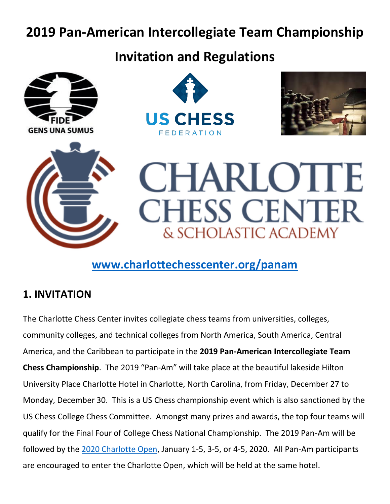# **2019 Pan-American Intercollegiate Team Championship**

## **Invitation and Regulations**











## **[www.charlottechesscenter.org/panam](http://www.charlottechesscenter.org/panam)**

#### **1. INVITATION**

The Charlotte Chess Center invites collegiate chess teams from universities, colleges, community colleges, and technical colleges from North America, South America, Central America, and the Caribbean to participate in the **2019 Pan-American Intercollegiate Team Chess Championship**. The 2019 "Pan-Am" will take place at the beautiful lakeside Hilton University Place Charlotte Hotel in Charlotte, North Carolina, from Friday, December 27 to Monday, December 30. This is a US Chess championship event which is also sanctioned by the US Chess College Chess Committee. Amongst many prizes and awards, the top four teams will qualify for the Final Four of College Chess National Championship. The 2019 Pan-Am will be followed by the [2020 Charlotte Open,](https://www.charlottechesscenter.org/cltopen) January 1-5, 3-5, or 4-5, 2020. All Pan-Am participants are encouraged to enter the Charlotte Open, which will be held at the same hotel.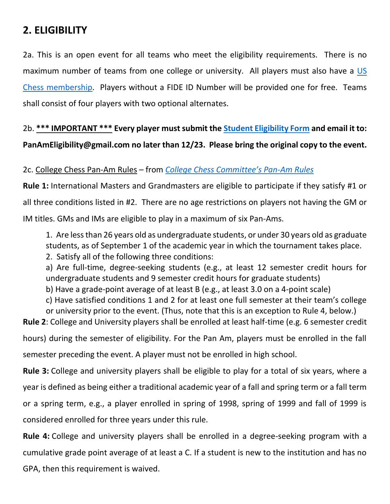#### **2. ELIGIBILITY**

2a. This is an open event for all teams who meet the eligibility requirements. There is no maximum number of teams from one college or university. All players must also have a US [Chess membership.](https://secure2.uschess.org/webstore/member.php) Players without a FIDE ID Number will be provided one for free. Teams shall consist of four players with two optional alternates.

### 2b. **\*\*\* IMPORTANT \*\*\* Every player must submit the [Student Eligibility Form](http://collegechess.org/Files/Pan%20Am%20Eligibility%20Form.pdf) and email it to: PanAmEligibility@gmail.com no later than 12/23. Please bring the original copy to the event.**

#### 2c. College Chess Pan-Am Rules – from *[College Chess Committee's Pan](http://collegechess.org/Files/2017-Pan-Am-Rules-Rev-1018-Approved.pdf)-Am Rules*

**Rule 1:** International Masters and Grandmasters are eligible to participate if they satisfy #1 or all three conditions listed in #2. There are no age restrictions on players not having the GM or IM titles. GMs and IMs are eligible to play in a maximum of six Pan-Ams.

1. Are less than 26 years old as undergraduate students, or under 30 years old as graduate students, as of September 1 of the academic year in which the tournament takes place.

2. Satisfy all of the following three conditions:

a) Are full-time, degree-seeking students (e.g., at least 12 semester credit hours for undergraduate students and 9 semester credit hours for graduate students)

b) Have a grade-point average of at least B (e.g., at least 3.0 on a 4-point scale)

c) Have satisfied conditions 1 and 2 for at least one full semester at their team's college or university prior to the event. (Thus, note that this is an exception to Rule 4, below.)

**Rule 2**: College and University players shall be enrolled at least half-time (e.g. 6 semester credit

hours) during the semester of eligibility. For the Pan Am, players must be enrolled in the fall semester preceding the event. A player must not be enrolled in high school.

**Rule 3:** College and university players shall be eligible to play for a total of six years, where a year is defined as being either a traditional academic year of a fall and spring term or a fall term or a spring term, e.g., a player enrolled in spring of 1998, spring of 1999 and fall of 1999 is considered enrolled for three years under this rule.

**Rule 4:** College and university players shall be enrolled in a degree-seeking program with a cumulative grade point average of at least a C. If a student is new to the institution and has no GPA, then this requirement is waived.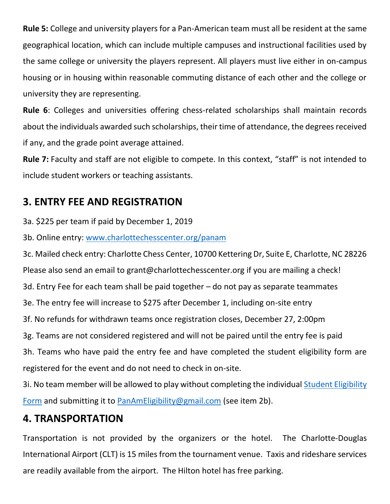**Rule 5:** College and university players for a Pan-American team must all be resident at the same geographical location, which can include multiple campuses and instructional facilities used by the same college or university the players represent. All players must live either in on-campus housing or in housing within reasonable commuting distance of each other and the college or university they are representing.

**Rule 6**: Colleges and universities offering chess-related scholarships shall maintain records about the individuals awarded such scholarships, their time of attendance, the degrees received if any, and the grade point average attained.

**Rule 7:** Faculty and staff are not eligible to compete. In this context, "staff" is not intended to include student workers or teaching assistants.

#### **3. ENTRY FEE AND REGISTRATION**

3a. \$225 per team if paid by December 1, 2019

3b. Online entry: [www.charlottechesscenter.org/panam](http://www.charlottechesscenter.org/panam)

3c. Mailed check entry: Charlotte Chess Center, 10700 Kettering Dr, Suite E, Charlotte, NC 28226 Please also send an email to grant@charlottechesscenter.org if you are mailing a check! 3d. Entry Fee for each team shall be paid together – do not pay as separate teammates 3e. The entry fee will increase to \$275 after December 1, including on-site entry 3f. No refunds for withdrawn teams once registration closes, December 27, 2:00pm 3g. Teams are not considered registered and will not be paired until the entry fee is paid 3h. Teams who have paid the entry fee and have completed the student eligibility form are registered for the event and do not need to check in on-site.

3i. No team member will be allowed to play without completing the individual Student Eligibility [Form](http://collegechess.org/Files/Pan%20Am%20Eligibility%20Form.pdf) and submitting it to **PanAmEligibility@gmail.com** (see item 2b).

#### **4. TRANSPORTATION**

Transportation is not provided by the organizers or the hotel. The Charlotte-Douglas International Airport (CLT) is 15 miles from the tournament venue. Taxis and rideshare services are readily available from the airport. The Hilton hotel has free parking.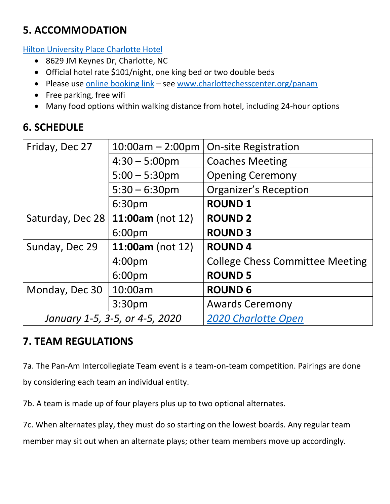### **5. ACCOMMODATION**

[Hilton University Place Charlotte Hotel](https://www.hilton.com/en/hi/groups/personalized/C/CLTHUHF-CHESS0-20200101/index.jhtml?WT.mc_id=POG)

- 8629 JM Keynes Dr, Charlotte, NC
- Official hotel rate \$101/night, one king bed or two double beds
- Please use [online booking link](https://www.hilton.com/en/hi/groups/personalized/C/CLTHUHF-CHESS0-20200101/index.jhtml?WT.mc_id=POG) see [www.charlottechesscenter.org/panam](http://www.charlottechesscenter.org/panam)
- Free parking, free wifi
- Many food options within walking distance from hotel, including 24-hour options

### **6. SCHEDULE**

| Friday, Dec 27                 | $10:00am - 2:00pm$      | <b>On-site Registration</b>            |
|--------------------------------|-------------------------|----------------------------------------|
|                                | $4:30 - 5:00 \text{pm}$ | <b>Coaches Meeting</b>                 |
|                                | $5:00 - 5:30$ pm        | <b>Opening Ceremony</b>                |
|                                | $5:30 - 6:30$ pm        | <b>Organizer's Reception</b>           |
|                                | 6:30pm                  | <b>ROUND1</b>                          |
| Saturday, Dec 28               | 11:00am (not $12$ )     | <b>ROUND 2</b>                         |
|                                | 6:00pm                  | <b>ROUND 3</b>                         |
| Sunday, Dec 29                 | 11:00am (not 12)        | <b>ROUND4</b>                          |
|                                | 4:00 <sub>pm</sub>      | <b>College Chess Committee Meeting</b> |
|                                | 6:00pm                  | <b>ROUND 5</b>                         |
| Monday, Dec 30                 | 10:00am                 | <b>ROUND 6</b>                         |
|                                | 3:30pm                  | <b>Awards Ceremony</b>                 |
| January 1-5, 3-5, or 4-5, 2020 |                         | <b>2020 Charlotte Open</b>             |

#### **7. TEAM REGULATIONS**

7a. The Pan-Am Intercollegiate Team event is a team-on-team competition. Pairings are done by considering each team an individual entity.

7b. A team is made up of four players plus up to two optional alternates.

7c. When alternates play, they must do so starting on the lowest boards. Any regular team

member may sit out when an alternate plays; other team members move up accordingly.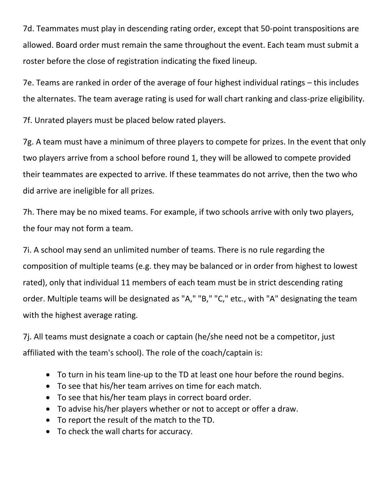7d. Teammates must play in descending rating order, except that 50-point transpositions are allowed. Board order must remain the same throughout the event. Each team must submit a roster before the close of registration indicating the fixed lineup.

7e. Teams are ranked in order of the average of four highest individual ratings – this includes the alternates. The team average rating is used for wall chart ranking and class-prize eligibility.

7f. Unrated players must be placed below rated players.

7g. A team must have a minimum of three players to compete for prizes. In the event that only two players arrive from a school before round 1, they will be allowed to compete provided their teammates are expected to arrive. If these teammates do not arrive, then the two who did arrive are ineligible for all prizes.

7h. There may be no mixed teams. For example, if two schools arrive with only two players, the four may not form a team.

7i. A school may send an unlimited number of teams. There is no rule regarding the composition of multiple teams (e.g. they may be balanced or in order from highest to lowest rated), only that individual 11 members of each team must be in strict descending rating order. Multiple teams will be designated as "A," "B," "C," etc., with "A" designating the team with the highest average rating.

7j. All teams must designate a coach or captain (he/she need not be a competitor, just affiliated with the team's school). The role of the coach/captain is:

- To turn in his team line-up to the TD at least one hour before the round begins.
- To see that his/her team arrives on time for each match.
- To see that his/her team plays in correct board order.
- To advise his/her players whether or not to accept or offer a draw.
- To report the result of the match to the TD.
- To check the wall charts for accuracy.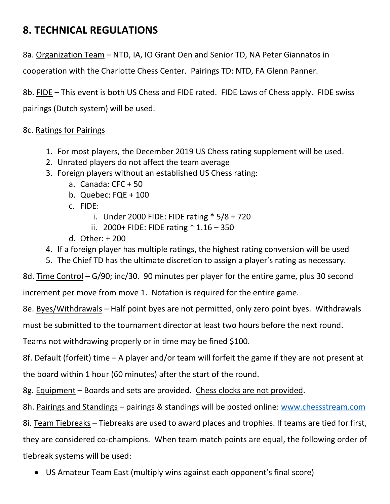#### **8. TECHNICAL REGULATIONS**

8a. Organization Team – NTD, IA, IO Grant Oen and Senior TD, NA Peter Giannatos in

cooperation with the Charlotte Chess Center. Pairings TD: NTD, FA Glenn Panner.

8b. FIDE – This event is both US Chess and FIDE rated. FIDE Laws of Chess apply. FIDE swiss pairings (Dutch system) will be used.

#### 8c. Ratings for Pairings

- 1. For most players, the December 2019 US Chess rating supplement will be used.
- 2. Unrated players do not affect the team average
- 3. Foreign players without an established US Chess rating:
	- a. Canada: CFC + 50
	- b. Quebec: FQE + 100
	- c. FIDE:
		- i. Under 2000 FIDE: FIDE rating \* 5/8 + 720
		- ii. 2000+ FIDE: FIDE rating \* 1.16 350
	- d. Other: + 200
- 4. If a foreign player has multiple ratings, the highest rating conversion will be used
- 5. The Chief TD has the ultimate discretion to assign a player's rating as necessary.

8d. Time Control – G/90; inc/30. 90 minutes per player for the entire game, plus 30 second

increment per move from move 1. Notation is required for the entire game.

8e. Byes/Withdrawals – Half point byes are not permitted, only zero point byes. Withdrawals

must be submitted to the tournament director at least two hours before the next round.

Teams not withdrawing properly or in time may be fined \$100.

8f. Default (forfeit) time – A player and/or team will forfeit the game if they are not present at

the board within 1 hour (60 minutes) after the start of the round.

8g. Equipment – Boards and sets are provided. Chess clocks are not provided.

8h. Pairings and Standings – pairings & standings will be posted online: [www.chessstream.com](http://www.chessstream.com/)

8i. Team Tiebreaks – Tiebreaks are used to award places and trophies. If teams are tied for first, they are considered co-champions. When team match points are equal, the following order of tiebreak systems will be used:

• US Amateur Team East (multiply wins against each opponent's final score)